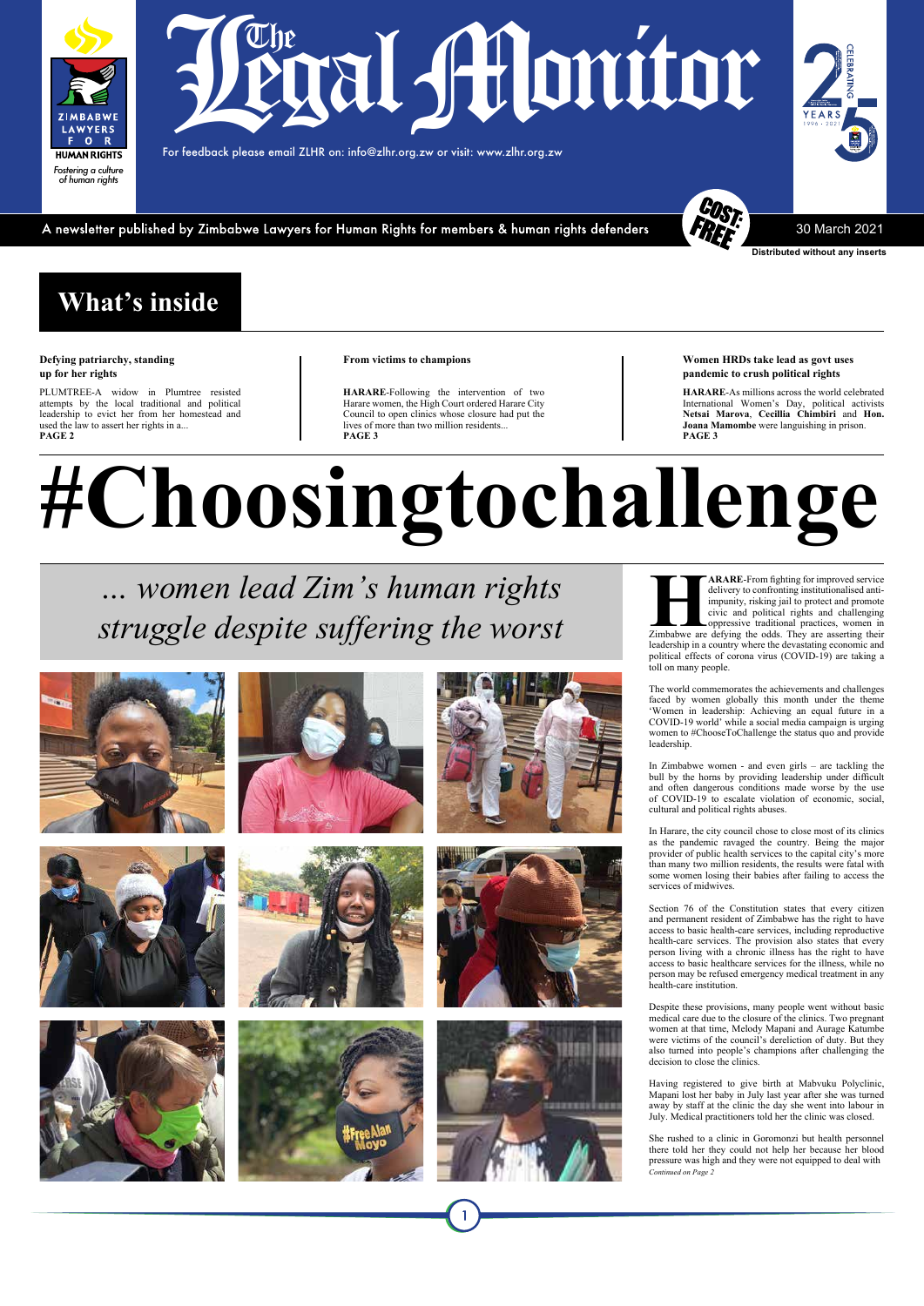#### **Women HRDs take lead as govt uses pandemic to crush political rights**

**HARARE**-As millions across the world celebrated International Women's Day, political activists **Netsai Marova**, **Cecillia Chimbiri** and **Hon. Joana Mamombe** were languishing in prison. **PAGE 3**

## **What's inside**

#### **Defying patriarchy, standing up for her rights**

*… women lead Zim's human rights*   $\ldots$  *women* lead Zim's human rights<br>  $\ldots$  *women and proper service and promote*<br>  $\ldots$  *struggle despite suffering the worst*<br>  $\ldots$  *struggle despite suffering the worst* 













PLUMTREE-A widow in Plumtree resisted attempts by the local traditional and political leadership to evict her from her homestead and used the law to assert her rights in a... **PAGE 2**

#### **From victims to champions**

**HARARE**-Following the intervention of two Harare women, the High Court ordered Harare City Council to open clinics whose closure had put the lives of more than two million residents... **PAGE 3**

# **#Choosingtochallenge**

delivery to confronting institutionalised antiimpunity, risking jail to protect and promote civic and political rights and challenging oppressive traditional practices, women in Zimbabwe are defying the odds. They are asserting their leadership in a country where the devastating economic and political effects of corona virus (COVID-19) are taking a toll on many people.

The world commemorates the achievements and challenges faced by women globally this month under the theme 'Women in leadership: Achieving an equal future in a COVID-19 world' while a social media campaign is urging women to #ChooseToChallenge the status quo and provide leadership.

In Zimbabwe women - and even girls – are tackling the bull by the horns by providing leadership under difficult and often dangerous conditions made worse by the use of COVID-19 to escalate violation of economic, social, cultural and political rights abuses.

In Harare, the city council chose to close most of its clinics as the pandemic ravaged the country. Being the major provider of public health services to the capital city's more than many two million residents, the results were fatal with some women losing their babies after failing to access the services of midwives.

Section 76 of the Constitution states that every citizen and permanent resident of Zimbabwe has the right to have access to basic health-care services, including reproductive health-care services. The provision also states that every person living with a chronic illness has the right to have access to basic healthcare services for the illness, while no person may be refused emergency medical treatment in any health-care institution.

Despite these provisions, many people went without basic medical care due to the closure of the clinics. Two pregnant women at that time, Melody Mapani and Aurage Katumbe were victims of the council's dereliction of duty. But they also turned into people's champions after challenging the decision to close the clinics.

Having registered to give birth at Mabvuku Polyclinic, Mapani lost her baby in July last year after she was turned away by staff at the clinic the day she went into labour in July. Medical practitioners told her the clinic was closed.

She rushed to a clinic in Goromonzi but health personnel there told her they could not help her because her blood pressure was high and they were not equipped to deal with *Continued on Page 2*

For feedback please email ZLHR on: info@zlhr.org.zw or visit: www.zlhr.org.zw

A newsletter published by Zimbabwe Lawyers for Human Rights for members & human rights defenders



**Distributed without any inserts**

30 March 2021

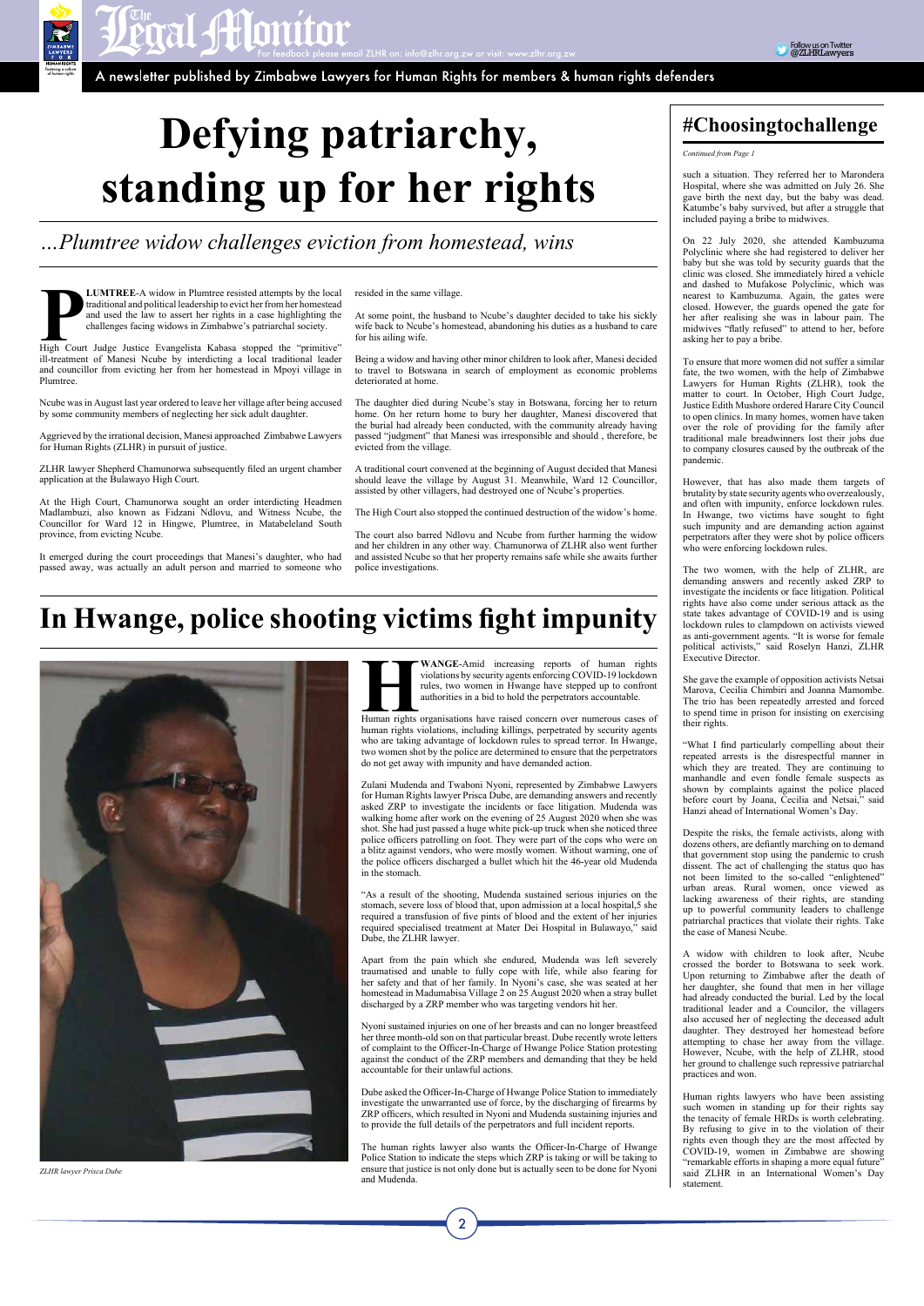*Fostering a culture of human rights*

**PRAL AMONITOR**<br>A newsletter published by Zimbabwe Lawyers for Human Rights for members & human rights defenders

*Continued from Page 1*

such a situation. They referred her to Marondera Hospital, where she was admitted on July 26. She gave birth the next day, but the baby was dead. Katumbe's baby survived, but after a struggle that included paying a bribe to midwives.

On 22 July 2020, she attended Kambuzuma Polyclinic where she had registered to deliver her baby but she was told by security guards that the clinic was closed. She immediately hired a vehicle and dashed to Mufakose Polyclinic, which was nearest to Kambuzuma. Again, the gates were closed. However, the guards opened the gate for her after realising she was in labour pain. The midwives "flatly refused" to attend to her, before asking her to pay a bribe.

To ensure that more women did not suffer a similar fate, the two women, with the help of Zimbabwe Lawyers for Human Rights (ZLHR), took the matter to court. In October, High Court Judge, Justice Edith Mushore ordered Harare City Council to open clinics. In many homes, women have taken over the role of providing for the family after traditional male breadwinners lost their jobs due to company closures caused by the outbreak of the pandemic.

However, that has also made them targets of brutality by state security agents who overzealously, and often with impunity, enforce lockdown rules. In Hwange, two victims have sought to fight such impunity and are demanding action against perpetrators after they were shot by police officers who were enforcing lockdown rules.

The two women, with the help of ZLHR, are demanding answers and recently asked ZRP to investigate the incidents or face litigation. Political rights have also come under serious attack as the state takes advantage of COVID-19 and is using lockdown rules to clampdown on activists viewed as anti-government agents. "It is worse for female political activists," said Roselyn Hanzi, ZLHR Executive Director.

She gave the example of opposition activists Netsai Marova, Cecilia Chimbiri and Joanna Mamombe. The trio has been repeatedly arrested and forced to spend time in prison for insisting on exercising their rights.

**PLUMTREE-A** widow in Plumtree resisted attempts by the local traditional and political leadership to evict her from her homestead and used the law to assert her rights in a case highlighting the challenges facing widows i traditional and political leadership to evict her from her homestead and used the law to assert her rights in a case highlighting the challenges facing widows in Zimbabwe's patriarchal society.

> "What I find particularly compelling about their repeated arrests is the disrespectful manner in which they are treated. They are continuing to manhandle and even fondle female suspects as shown by complaints against the police placed before court by Joana, Cecilia and Netsai," said Hanzi ahead of International Women's Day.

Despite the risks, the female activists, along with dozens others, are defiantly marching on to demand that government stop using the pandemic to crush dissent. The act of challenging the status quo has not been limited to the so-called "enlightened" urban areas. Rural women, once viewed as lacking awareness of their rights, are standing up to powerful community leaders to challenge patriarchal practices that violate their rights. Take the case of Manesi Ncube.

A widow with children to look after, Ncube crossed the border to Botswana to seek work. Upon returning to Zimbabwe after the death of her daughter, she found that men in her village had already conducted the burial. Led by the local traditional leader and a Councilor, the villagers also accused her of neglecting the deceased adult daughter. They destroyed her homestead before attempting to chase her away from the village. However, Ncube, with the help of ZLHR, stood her ground to challenge such repressive patriarchal practices and won.

**HUMANGE-Amid increasing reports of human rights** violations by security agents enforcing COVID-19 lockdown rules, two women in Hwange have stepped up to confront authorities in a bid to hold the perpetrators accountable.<br> violations by security agents enforcing COVID-19 lockdown rules, two women in Hwange have stepped up to confront authorities in a bid to hold the perpetrators accountable.

> Human rights lawyers who have been assisting such women in standing up for their rights say the tenacity of female HRDs is worth celebrating. By refusing to give in to the violation of their rights even though they are the most affected by COVID-19, women in Zimbabwe are showing "remarkable efforts in shaping a more equal future" said ZLHR in an International Women's Day statement.

# **Defying patriarchy, standing up for her rights**

#### *…Plumtree widow challenges eviction from homestead, wins*

ill-treatment of Manesi Ncube by interdicting a local traditional leader and councillor from evicting her from her homestead in Mpoyi village in Plumtree.

Ncube was in August last year ordered to leave her village after being accused by some community members of neglecting her sick adult daughter.

Aggrieved by the irrational decision, Manesi approached Zimbabwe Lawyers for Human Rights (ZLHR) in pursuit of justice.

ZLHR lawyer Shepherd Chamunorwa subsequently filed an urgent chamber application at the Bulawayo High Court.

At the High Court, Chamunorwa sought an order interdicting Headmen Madlambuzi, also known as Fidzani Ndlovu, and Witness Ncube, the Councillor for Ward 12 in Hingwe, Plumtree, in Matabeleland South province, from evicting Ncube.

It emerged during the court proceedings that Manesi's daughter, who had passed away, was actually an adult person and married to someone who resided in the same village.

At some point, the husband to Ncube's daughter decided to take his sickly wife back to Ncube's homestead, abandoning his duties as a husband to care for his ailing wife.

Being a widow and having other minor children to look after, Manesi decided to travel to Botswana in search of employment as economic problems deteriorated at home.

The daughter died during Ncube's stay in Botswana, forcing her to return home. On her return home to bury her daughter, Manesi discovered that the burial had already been conducted, with the community already having passed "judgment" that Manesi was irresponsible and should , therefore, be evicted from the village.

A traditional court convened at the beginning of August decided that Manesi should leave the village by August 31. Meanwhile, Ward 12 Councillor, assisted by other villagers, had destroyed one of Ncube's properties.

The High Court also stopped the continued destruction of the widow's home.

The court also barred Ndlovu and Ncube from further harming the widow and her children in any other way. Chamunorwa of ZLHR also went further and assisted Ncube so that her property remains safe while she awaits further police investigations.

## **In Hwange, police shooting victims fight impunity**



human rights violations, including killings, perpetrated by security agents who are taking advantage of lockdown rules to spread terror. In Hwange, two women shot by the police are determined to ensure that the perpetrators do not get away with impunity and have demanded action.

Zulani Mudenda and Twaboni Nyoni, represented by Zimbabwe Lawyers for Human Rights lawyer Prisca Dube, are demanding answers and recently asked ZRP to investigate the incidents or face litigation. Mudenda was walking home after work on the evening of 25 August 2020 when she was shot. She had just passed a huge white pick-up truck when she noticed three police officers patrolling on foot. They were part of the cops who were on a blitz against vendors, who were mostly women. Without warning, one of the police officers discharged a bullet which hit the 46-year old Mudenda in the stomach.

"As a result of the shooting, Mudenda sustained serious injuries on the stomach, severe loss of blood that, upon admission at a local hospital,5 she required a transfusion of five pints of blood and the extent of her injuries required specialised treatment at Mater Dei Hospital in Bulawayo," said Dube, the ZLHR lawyer.

Apart from the pain which she endured, Mudenda was left severely traumatised and unable to fully cope with life, while also fearing for her safety and that of her family. In Nyoni's case, she was seated at her homestead in Madumabisa Village 2 on 25 August 2020 when a stray bullet discharged by a ZRP member who was targeting vendors hit her.

Nyoni sustained injuries on one of her breasts and can no longer breastfeed her three month-old son on that particular breast. Dube recently wrote letters of complaint to the Officer-In-Charge of Hwange Police Station protesting against the conduct of the ZRP members and demanding that they be held accountable for their unlawful actions.

Dube asked the Officer-In-Charge of Hwange Police Station to immediately investigate the unwarranted use of force, by the discharging of firearms by ZRP officers, which resulted in Nyoni and Mudenda sustaining injuries and to provide the full details of the perpetrators and full incident reports.

The human rights lawyer also wants the Officer-In-Charge of Hwange Police Station to indicate the steps which ZRP is taking or will be taking to ensure that justice is not only done but is actually seen to be done for Nyoni and Mudenda.

 $\overline{2}$ 

#### **#Choosingtochallenge**

*ZLHR lawyer Prisca Dube*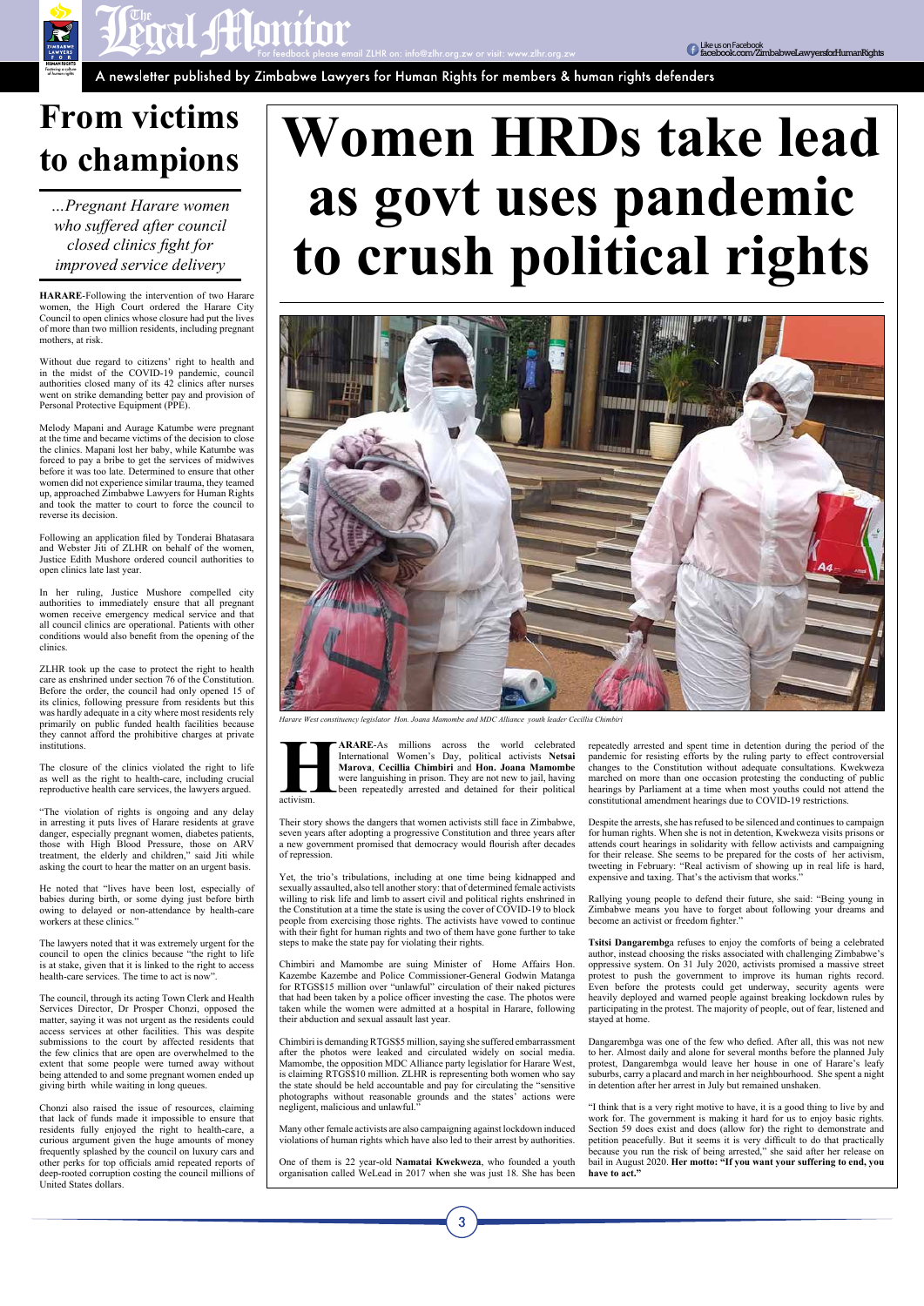For feedback please email ZLHR on: info@zlhr.org.zw or visit: www.zlhr.org.zw

*Fostering a culture of human rights*



**Punce of the Contract Of Contract Of the Construction of the Construction of the Construction of the Construction of the Construction of the Construction of the Construction of the Construction of the Construction of the** 

## **From victims to champions**

*…Pregnant Harare women who suffered after council closed clinics fight for improved service delivery*

**HARARE**-Following the intervention of two Harare women, the High Court ordered the Harare City Council to open clinics whose closure had put the lives of more than two million residents, including pregnant mothers, at risk.

Without due regard to citizens' right to health and in the midst of the COVID-19 pandemic, council authorities closed many of its 42 clinics after nurses went on strike demanding better pay and provision of Personal Protective Equipment (PPE).

Melody Mapani and Aurage Katumbe were pregnant at the time and became victims of the decision to close the clinics. Mapani lost her baby, while Katumbe was forced to pay a bribe to get the services of midwives before it was too late. Determined to ensure that other women did not experience similar trauma, they teamed up, approached Zimbabwe Lawyers for Human Rights and took the matter to court to force the council to reverse its decision.

He noted that "lives have been lost, especially of babies during birth, or some dying just before birth owing to delayed or non-attendance by health-care workers at these clinics."

Following an application filed by Tonderai Bhatasara and Webster Jiti of ZLHR on behalf of the women, Justice Edith Mushore ordered council authorities to open clinics late last year.

In her ruling, Justice Mushore compelled city authorities to immediately ensure that all pregnant women receive emergency medical service and that all council clinics are operational. Patients with other conditions would also benefit from the opening of the clinics.

ZLHR took up the case to protect the right to health care as enshrined under section 76 of the Constitution. Before the order, the council had only opened 15 of its clinics, following pressure from residents but this was hardly adequate in a city where most residents rely primarily on public funded health facilities because they cannot afford the prohibitive charges at private institutions.

**HARARE-As** millions across the world celebrated International Women's Day, political activists Netsai Marova, Cecillia Chimbiri and Hon. Joana Mamombe were languishing in prison. They are not new to jail, having activism. International Women's Day, political activists **Netsai Marova**, **Cecillia Chimbiri** and **Hon. Joana Mamombe** were languishing in prison. They are not new to jail, having been repeatedly arrested and detained for their political

The closure of the clinics violated the right to life as well as the right to health-care, including crucial reproductive health care services, the lawyers argued.

"The violation of rights is ongoing and any delay in arresting it puts lives of Harare residents at grave danger, especially pregnant women, diabetes patients, those with High Blood Pressure, those on ARV treatment, the elderly and children," said Jiti while asking the court to hear the matter on an urgent basis.

The lawyers noted that it was extremely urgent for the council to open the clinics because "the right to life is at stake, given that it is linked to the right to access health-care services. The time to act is now".

The council, through its acting Town Clerk and Health Services Director, Dr Prosper Chonzi, opposed the matter, saying it was not urgent as the residents could access services at other facilities. This was despite submissions to the court by affected residents that the few clinics that are open are overwhelmed to the extent that some people were turned away without being attended to and some pregnant women ended up giving birth while waiting in long queues.

Chonzi also raised the issue of resources, claiming that lack of funds made it impossible to ensure that residents fully enjoyed the right to health-care, a curious argument given the huge amounts of money frequently splashed by the council on luxury cars and other perks for top officials amid repeated reports of deep-rooted corruption costing the council millions of United States dollars.

# **Women HRDs take lead as govt uses pandemic to crush political rights**



Their story shows the dangers that women activists still face in Zimbabwe, seven years after adopting a progressive Constitution and three years after a new government promised that democracy would flourish after decades of repression.

Yet, the trio's tribulations, including at one time being kidnapped and sexually assaulted, also tell another story: that of determined female activists willing to risk life and limb to assert civil and political rights enshrined in the Constitution at a time the state is using the cover of COVID-19 to block people from exercising those rights. The activists have vowed to continue with their fight for human rights and two of them have gone further to take steps to make the state pay for violating their rights.

Chimbiri and Mamombe are suing Minister of Home Affairs Hon. Kazembe Kazembe and Police Commissioner-General Godwin Matanga for RTGS\$15 million over "unlawful" circulation of their naked pictures that had been taken by a police officer investing the case. The photos were taken while the women were admitted at a hospital in Harare, following their abduction and sexual assault last year.

Chimbiri is demanding RTGS\$5 million, saying she suffered embarrassment after the photos were leaked and circulated widely on social media. Mamombe, the opposition MDC Alliance party legislatior for Harare West, is claiming RTGS\$10 million. ZLHR is representing both women who say the state should be held accountable and pay for circulating the "sensitive photographs without reasonable grounds and the states' actions were negligent, malicious and unlawful."

Many other female activists are also campaigning against lockdown induced violations of human rights which have also led to their arrest by authorities.

One of them is 22 year-old **Namatai Kwekweza**, who founded a youth organisation called WeLead in 2017 when she was just 18. She has been

3

repeatedly arrested and spent time in detention during the period of the pandemic for resisting efforts by the ruling party to effect controversial changes to the Constitution without adequate consultations. Kwekweza marched on more than one occasion protesting the conducting of public hearings by Parliament at a time when most youths could not attend the constitutional amendment hearings due to COVID-19 restrictions.

Despite the arrests, she has refused to be silenced and continues to campaign for human rights. When she is not in detention, Kwekweza visits prisons or attends court hearings in solidarity with fellow activists and campaigning for their release. She seems to be prepared for the costs of her activism, tweeting in February: "Real activism of showing up in real life is hard, expensive and taxing. That's the activism that works."

Rallying young people to defend their future, she said: "Being young in Zimbabwe means you have to forget about following your dreams and become an activist or freedom fighter."

**Tsitsi Dangarembg**a refuses to enjoy the comforts of being a celebrated author, instead choosing the risks associated with challenging Zimbabwe's oppressive system. On 31 July 2020, activists promised a massive street protest to push the government to improve its human rights record. Even before the protests could get underway, security agents were heavily deployed and warned people against breaking lockdown rules by participating in the protest. The majority of people, out of fear, listened and stayed at home.

Dangarembga was one of the few who defied. After all, this was not new to her. Almost daily and alone for several months before the planned July protest, Dangarembga would leave her house in one of Harare's leafy suburbs, carry a placard and march in her neighbourhood. She spent a night in detention after her arrest in July but remained unshaken.

"I think that is a very right motive to have, it is a good thing to live by and work for. The government is making it hard for us to enjoy basic rights. Section 59 does exist and does (allow for) the right to demonstrate and petition peacefully. But it seems it is very difficult to do that practically because you run the risk of being arrested," she said after her release on bail in August 2020. **Her motto: "If you want your suffering to end, you have to act."**



*Harare West constituency legislator Hon. Joana Mamombe and MDC Alliance youth leader Cecillia Chimbiri*